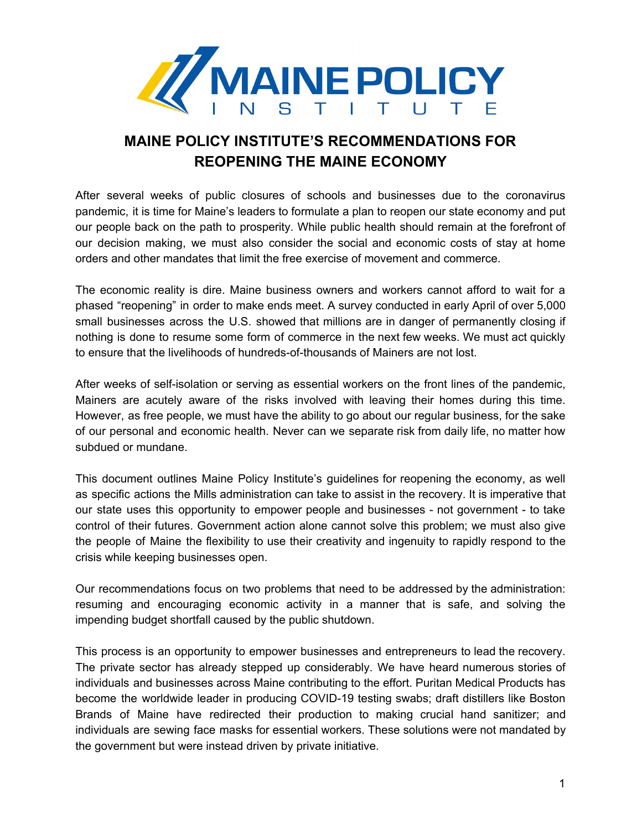

# **MAINE POLICY INSTITUTE'S RECOMMENDATIONS FOR REOPENING THE MAINE ECONOMY**

After several weeks of public closures of schools and businesses due to the coronavirus pandemic, it is time for Maine's leaders to formulate a plan to reopen our state economy and put our people back on the path to prosperity. While public health should remain at the forefront of our decision making, we must also consider the social and economic costs of stay at home orders and other mandates that limit the free exercise of movement and commerce.

The economic reality is dire. Maine business owners and workers cannot afford to wait for a phased "reopening" in order to make ends meet. A survey conducted in early April of over 5,000 small businesses across the U.S. showed that millions are in danger of permanently closing if nothing is done to resume some form of commerce in the next few weeks. We must act quickly to ensure that the livelihoods of hundreds-of-thousands of Mainers are not lost.

After weeks of self-isolation or serving as essential workers on the front lines of the pandemic, Mainers are acutely aware of the risks involved with leaving their homes during this time. However, as free people, we must have the ability to go about our regular business, for the sake of our personal and economic health. Never can we separate risk from daily life, no matter how subdued or mundane.

This document outlines Maine Policy Institute's guidelines for reopening the economy, as well as specific actions the Mills administration can take to assist in the recovery. It is imperative that our state uses this opportunity to empower people and businesses - not government - to take control of their futures. Government action alone cannot solve this problem; we must also give the people of Maine the flexibility to use their creativity and ingenuity to rapidly respond to the crisis while keeping businesses open.

Our recommendations focus on two problems that need to be addressed by the administration: resuming and encouraging economic activity in a manner that is safe, and solving the impending budget shortfall caused by the public shutdown.

This process is an opportunity to empower businesses and entrepreneurs to lead the recovery. The private sector has already stepped up considerably. We have heard numerous stories of individuals and businesses across Maine contributing to the effort. Puritan Medical Products has become the worldwide leader in producing COVID-19 testing swabs; draft distillers like Boston Brands of Maine have redirected their production to making crucial hand sanitizer; and individuals are sewing face masks for essential workers. These solutions were not mandated by the government but were instead driven by private initiative.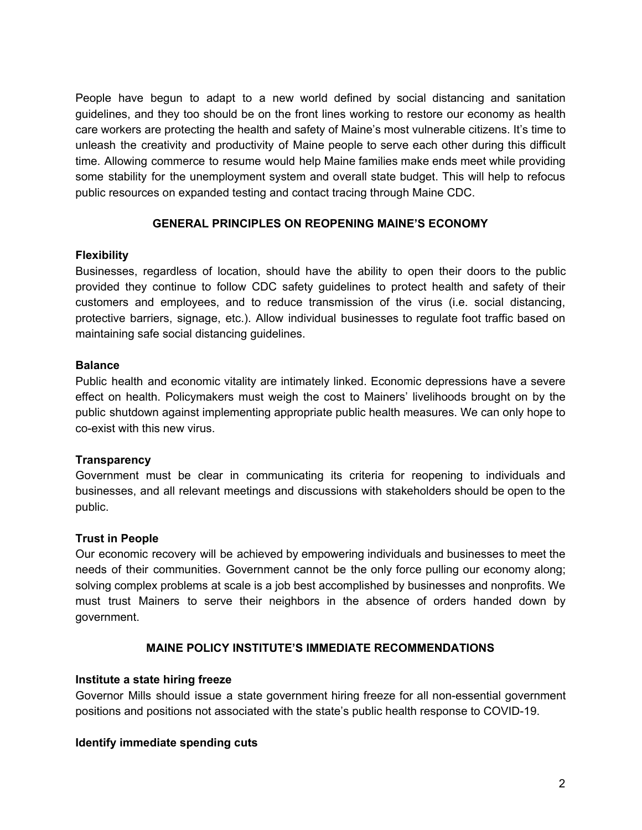People have begun to adapt to a new world defined by social distancing and sanitation guidelines, and they too should be on the front lines working to restore our economy as health care workers are protecting the health and safety of Maine's most vulnerable citizens. It's time to unleash the creativity and productivity of Maine people to serve each other during this difficult time. Allowing commerce to resume would help Maine families make ends meet while providing some stability for the unemployment system and overall state budget. This will help to refocus public resources on expanded testing and contact tracing through Maine CDC.

# **GENERAL PRINCIPLES ON REOPENING MAINE'S ECONOMY**

#### **Flexibility**

Businesses, regardless of location, should have the ability to open their doors to the public provided they continue to follow CDC safety guidelines to protect health and safety of their customers and employees, and to reduce transmission of the virus (i.e. social distancing, protective barriers, signage, etc.). Allow individual businesses to regulate foot traffic based on maintaining safe social distancing guidelines.

#### **Balance**

Public health and economic vitality are intimately linked. Economic depressions have a severe effect on health. Policymakers must weigh the cost to Mainers' livelihoods brought on by the public shutdown against implementing appropriate public health measures. We can only hope to co-exist with this new virus.

## **Transparency**

Government must be clear in communicating its criteria for reopening to individuals and businesses, and all relevant meetings and discussions with stakeholders should be open to the public.

## **Trust in People**

Our economic recovery will be achieved by empowering individuals and businesses to meet the needs of their communities. Government cannot be the only force pulling our economy along; solving complex problems at scale is a job best accomplished by businesses and nonprofits. We must trust Mainers to serve their neighbors in the absence of orders handed down by government.

## **MAINE POLICY INSTITUTE'S IMMEDIATE RECOMMENDATIONS**

## **Institute a state hiring freeze**

Governor Mills should issue a state government hiring freeze for all non-essential government positions and positions not associated with the state's public health response to COVID-19.

## **Identify immediate spending cuts**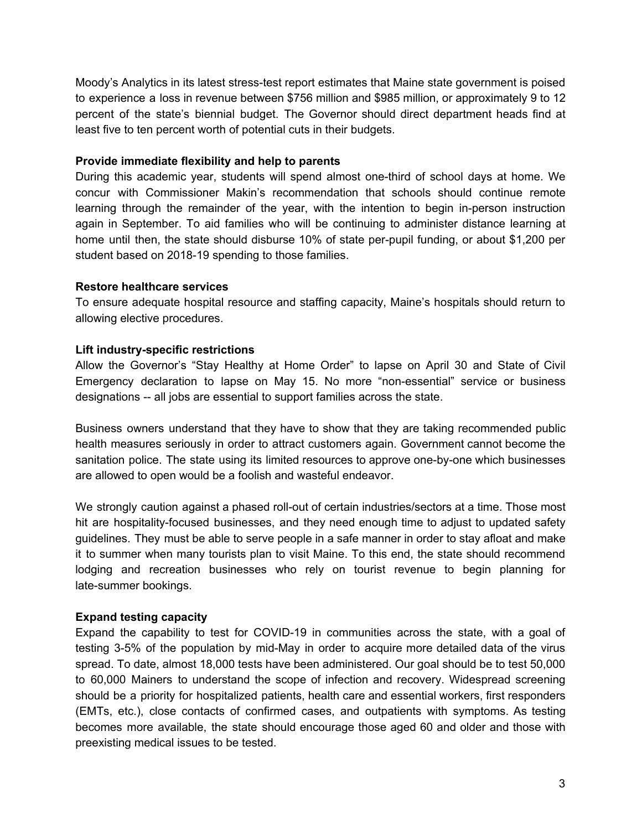Moody's Analytics in its latest stress-test report estimates that Maine state government is poised to experience a loss in revenue between \$756 million and \$985 million, or approximately 9 to 12 percent of the state's biennial budget. The Governor should direct department heads find at least five to ten percent worth of potential cuts in their budgets.

## **Provide immediate flexibility and help to parents**

During this academic year, students will spend almost one-third of school days at home. We concur with Commissioner Makin's recommendation that schools should continue remote learning through the remainder of the year, with the intention to begin in-person instruction again in September. To aid families who will be continuing to administer distance learning at home until then, the state should disburse 10% of state per-pupil funding, or about \$1,200 per student based on 2018-19 spending to those families.

# **Restore healthcare services**

To ensure adequate hospital resource and staffing capacity, Maine's hospitals should return to allowing elective procedures.

# **Lift industry-specific restrictions**

Allow the Governor's "Stay Healthy at Home Order" to lapse on April 30 and State of Civil Emergency declaration to lapse on May 15. No more "non-essential" service or business designations -- all jobs are essential to support families across the state.

Business owners understand that they have to show that they are taking recommended public health measures seriously in order to attract customers again. Government cannot become the sanitation police. The state using its limited resources to approve one-by-one which businesses are allowed to open would be a foolish and wasteful endeavor.

We strongly caution against a phased roll-out of certain industries/sectors at a time. Those most hit are hospitality-focused businesses, and they need enough time to adjust to updated safety guidelines. They must be able to serve people in a safe manner in order to stay afloat and make it to summer when many tourists plan to visit Maine. To this end, the state should recommend lodging and recreation businesses who rely on tourist revenue to begin planning for late-summer bookings.

## **Expand testing capacity**

Expand the capability to test for COVID-19 in communities across the state, with a goal of testing 3-5% of the population by mid-May in order to acquire more detailed data of the virus spread. To date, almost 18,000 tests have been administered. Our goal should be to test 50,000 to 60,000 Mainers to understand the scope of infection and recovery. Widespread screening should be a priority for hospitalized patients, health care and essential workers, first responders (EMTs, etc.), close contacts of confirmed cases, and outpatients with symptoms. As testing becomes more available, the state should encourage those aged 60 and older and those with preexisting medical issues to be tested.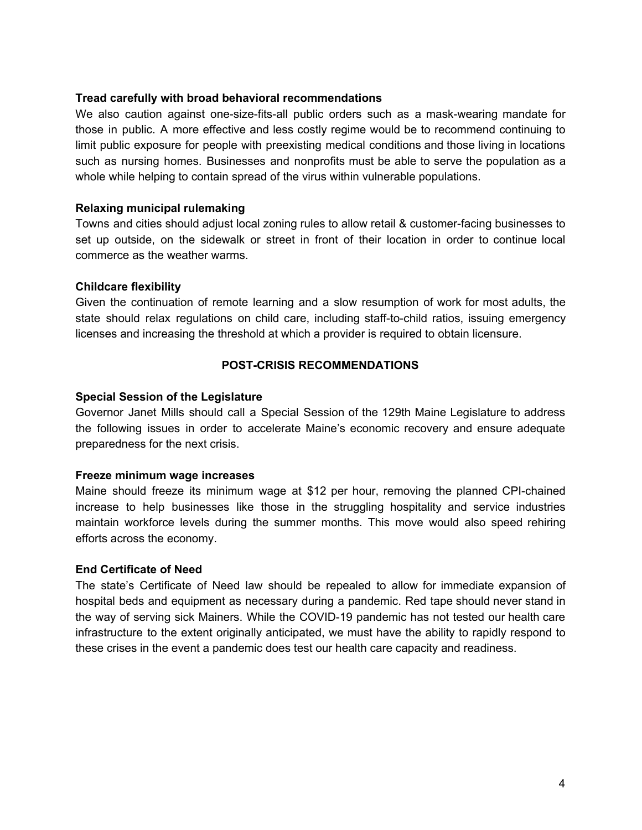## **Tread carefully with broad behavioral recommendations**

We also caution against one-size-fits-all public orders such as a mask-wearing mandate for those in public. A more effective and less costly regime would be to recommend continuing to limit public exposure for people with preexisting medical conditions and those living in locations such as nursing homes. Businesses and nonprofits must be able to serve the population as a whole while helping to contain spread of the virus within vulnerable populations.

#### **Relaxing municipal rulemaking**

Towns and cities should adjust local zoning rules to allow retail & customer-facing businesses to set up outside, on the sidewalk or street in front of their location in order to continue local commerce as the weather warms.

## **Childcare flexibility**

Given the continuation of remote learning and a slow resumption of work for most adults, the state should relax regulations on child care, including staff-to-child ratios, issuing emergency licenses and increasing the threshold at which a provider is required to obtain licensure.

## **POST-CRISIS RECOMMENDATIONS**

#### **Special Session of the Legislature**

Governor Janet Mills should call a Special Session of the 129th Maine Legislature to address the following issues in order to accelerate Maine's economic recovery and ensure adequate preparedness for the next crisis.

## **Freeze minimum wage increases**

Maine should freeze its minimum wage at \$12 per hour, removing the planned CPI-chained increase to help businesses like those in the struggling hospitality and service industries maintain workforce levels during the summer months. This move would also speed rehiring efforts across the economy.

## **End Certificate of Need**

The state's Certificate of Need law should be repealed to allow for immediate expansion of hospital beds and equipment as necessary during a pandemic. Red tape should never stand in the way of serving sick Mainers. While the COVID-19 pandemic has not tested our health care infrastructure to the extent originally anticipated, we must have the ability to rapidly respond to these crises in the event a pandemic does test our health care capacity and readiness.